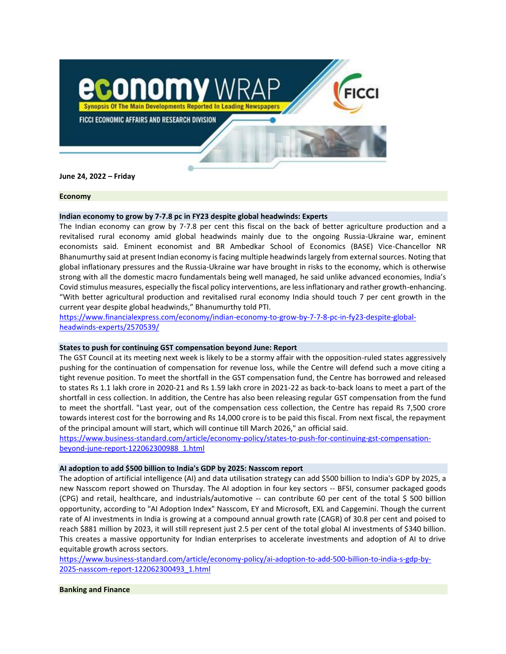

**June 24, 2022 – Friday**

#### **Economy**

# **Indian economy to grow by 7-7.8 pc in FY23 despite global headwinds: Experts**

The Indian economy can grow by 7-7.8 per cent this fiscal on the back of better agriculture production and a revitalised rural economy amid global headwinds mainly due to the ongoing Russia-Ukraine war, eminent economists said. Eminent economist and BR Ambedkar School of Economics (BASE) Vice-Chancellor NR Bhanumurthy said at present Indian economy is facing multiple headwinds largely from external sources. Noting that global inflationary pressures and the Russia-Ukraine war have brought in risks to the economy, which is otherwise strong with all the domestic macro fundamentals being well managed, he said unlike advanced economies, India's Covid stimulus measures, especially the fiscal policy interventions, are less inflationary and rather growth-enhancing. "With better agricultural production and revitalised rural economy India should touch 7 per cent growth in the current year despite global headwinds," Bhanumurthy told PTI.

[https://www.financialexpress.com/economy/indian-economy-to-grow-by-7-7-8-pc-in-fy23-despite-global](https://www.financialexpress.com/economy/indian-economy-to-grow-by-7-7-8-pc-in-fy23-despite-global-headwinds-experts/2570539/)[headwinds-experts/2570539/](https://www.financialexpress.com/economy/indian-economy-to-grow-by-7-7-8-pc-in-fy23-despite-global-headwinds-experts/2570539/)

### **States to push for continuing GST compensation beyond June: Report**

The GST Council at its meeting next week is likely to be a stormy affair with the opposition-ruled states aggressively pushing for the continuation of compensation for revenue loss, while the Centre will defend such a move citing a tight revenue position. To meet the shortfall in the GST compensation fund, the Centre has borrowed and released to states Rs 1.1 lakh crore in 2020-21 and Rs 1.59 lakh crore in 2021-22 as back-to-back loans to meet a part of the shortfall in cess collection. In addition, the Centre has also been releasing regular GST compensation from the fund to meet the shortfall. "Last year, out of the compensation cess collection, the Centre has repaid Rs 7,500 crore towards interest cost for the borrowing and Rs 14,000 crore is to be paid this fiscal. From next fiscal, the repayment of the principal amount will start, which will continue till March 2026," an official said.

[https://www.business-standard.com/article/economy-policy/states-to-push-for-continuing-gst-compensation](https://www.business-standard.com/article/economy-policy/states-to-push-for-continuing-gst-compensation-beyond-june-report-122062300988_1.html)[beyond-june-report-122062300988\\_1.html](https://www.business-standard.com/article/economy-policy/states-to-push-for-continuing-gst-compensation-beyond-june-report-122062300988_1.html)

### **AI adoption to add \$500 billion to India's GDP by 2025: Nasscom report**

The adoption of artificial intelligence (AI) and data utilisation strategy can add \$500 billion to India's GDP by 2025, a new Nasscom report showed on Thursday. The AI adoption in four key sectors -- BFSI, consumer packaged goods (CPG) and retail, healthcare, and industrials/automotive -- can contribute 60 per cent of the total \$ 500 billion opportunity, according to "AI Adoption Index" Nasscom, EY and Microsoft, EXL and Capgemini. Though the current rate of AI investments in India is growing at a compound annual growth rate (CAGR) of 30.8 per cent and poised to reach \$881 million by 2023, it will still represent just 2.5 per cent of the total global AI investments of \$340 billion. This creates a massive opportunity for Indian enterprises to accelerate investments and adoption of AI to drive equitable growth across sectors.

[https://www.business-standard.com/article/economy-policy/ai-adoption-to-add-500-billion-to-india-s-gdp-by-](https://www.business-standard.com/article/economy-policy/ai-adoption-to-add-500-billion-to-india-s-gdp-by-2025-nasscom-report-122062300493_1.html)[2025-nasscom-report-122062300493\\_1.html](https://www.business-standard.com/article/economy-policy/ai-adoption-to-add-500-billion-to-india-s-gdp-by-2025-nasscom-report-122062300493_1.html)

# **Banking and Finance**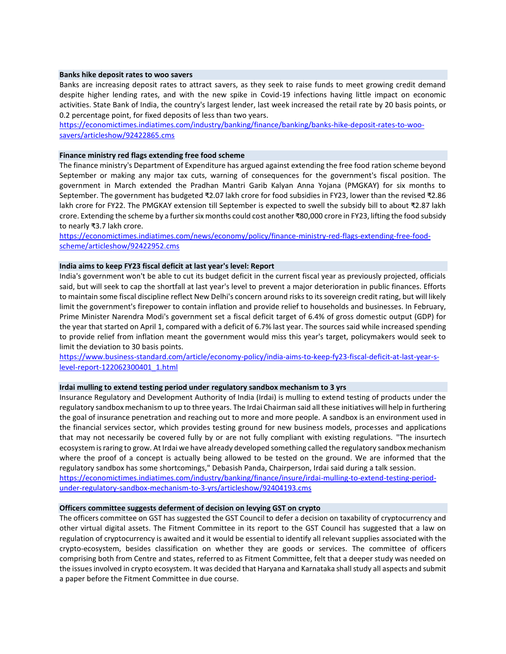#### **Banks hike deposit rates to woo savers**

Banks are increasing deposit rates to attract savers, as they seek to raise funds to meet growing credit demand despite higher lending rates, and with the new spike in Covid-19 infections having little impact on economic activities. State Bank of India, the country's largest lender, last week increased the retail rate by 20 basis points, or 0.2 percentage point, for fixed deposits of less than two years.

[https://economictimes.indiatimes.com/industry/banking/finance/banking/banks-hike-deposit-rates-to-woo](https://economictimes.indiatimes.com/industry/banking/finance/banking/banks-hike-deposit-rates-to-woo-savers/articleshow/92422865.cms)[savers/articleshow/92422865.cms](https://economictimes.indiatimes.com/industry/banking/finance/banking/banks-hike-deposit-rates-to-woo-savers/articleshow/92422865.cms)

## **Finance ministry red flags extending free food scheme**

The finance ministry's Department of Expenditure has argued against extending the free food ration scheme beyond September or making any major tax cuts, warning of consequences for the government's fiscal position. The government in March extended the Pradhan Mantri Garib Kalyan Anna Yojana (PMGKAY) for six months to September. The government has budgeted ₹2.07 lakh crore for food subsidies in FY23, lower than the revised ₹2.86 lakh crore for FY22. The PMGKAY extension till September is expected to swell the subsidy bill to about ₹2.87 lakh crore. Extending the scheme by a further six months could cost another ₹80,000 crore in FY23, lifting the food subsidy to nearly ₹3.7 lakh crore.

[https://economictimes.indiatimes.com/news/economy/policy/finance-ministry-red-flags-extending-free-food](https://economictimes.indiatimes.com/news/economy/policy/finance-ministry-red-flags-extending-free-food-scheme/articleshow/92422952.cms)[scheme/articleshow/92422952.cms](https://economictimes.indiatimes.com/news/economy/policy/finance-ministry-red-flags-extending-free-food-scheme/articleshow/92422952.cms)

# **India aims to keep FY23 fiscal deficit at last year's level: Report**

India's government won't be able to cut its budget deficit in the current fiscal year as previously projected, officials said, but will seek to cap the shortfall at last year's level to prevent a major deterioration in public finances. Efforts to maintain some fiscal discipline reflect New Delhi's concern around risks to its sovereign credit rating, but will likely limit the government's firepower to contain inflation and provide relief to households and businesses. In February, Prime Minister Narendra Modi's government set a fiscal deficit target of 6.4% of gross domestic output (GDP) for the year that started on April 1, compared with a deficit of 6.7% last year. The sources said while increased spending to provide relief from inflation meant the government would miss this year's target, policymakers would seek to limit the deviation to 30 basis points.

[https://www.business-standard.com/article/economy-policy/india-aims-to-keep-fy23-fiscal-deficit-at-last-year-s](https://www.business-standard.com/article/economy-policy/india-aims-to-keep-fy23-fiscal-deficit-at-last-year-s-level-report-122062300401_1.html)[level-report-122062300401\\_1.html](https://www.business-standard.com/article/economy-policy/india-aims-to-keep-fy23-fiscal-deficit-at-last-year-s-level-report-122062300401_1.html)

### **Irdai mulling to extend testing period under regulatory sandbox mechanism to 3 yrs**

Insurance Regulatory and Development Authority of India (Irdai) is mulling to extend testing of products under the regulatory sandbox mechanism to up to three years. The Irdai Chairman said all these initiatives will help in furthering the goal of insurance penetration and reaching out to more and more people. A sandbox is an environment used in the financial services sector, which provides testing ground for new business models, processes and applications that may not necessarily be covered fully by or are not fully compliant with existing regulations. "The insurtech ecosystem is raring to grow. At Irdai we have already developed something called the regulatory sandbox mechanism where the proof of a concept is actually being allowed to be tested on the ground. We are informed that the regulatory sandbox has some shortcomings," Debasish Panda, Chairperson, Irdai said during a talk session. [https://economictimes.indiatimes.com/industry/banking/finance/insure/irdai-mulling-to-extend-testing-period-](https://economictimes.indiatimes.com/industry/banking/finance/insure/irdai-mulling-to-extend-testing-period-under-regulatory-sandbox-mechanism-to-3-yrs/articleshow/92404193.cms)

[under-regulatory-sandbox-mechanism-to-3-yrs/articleshow/92404193.cms](https://economictimes.indiatimes.com/industry/banking/finance/insure/irdai-mulling-to-extend-testing-period-under-regulatory-sandbox-mechanism-to-3-yrs/articleshow/92404193.cms)

# **Officers committee suggests deferment of decision on levying GST on crypto**

The officers committee on GST has suggested the GST Council to defer a decision on taxability of cryptocurrency and other virtual digital assets. The Fitment Committee in its report to the GST Council has suggested that a law on regulation of cryptocurrency is awaited and it would be essential to identify all relevant supplies associated with the crypto-ecosystem, besides classification on whether they are goods or services. The committee of officers comprising both from Centre and states, referred to as Fitment Committee, felt that a deeper study was needed on the issues involved in crypto ecosystem. It was decided that Haryana and Karnataka shall study all aspects and submit a paper before the Fitment Committee in due course.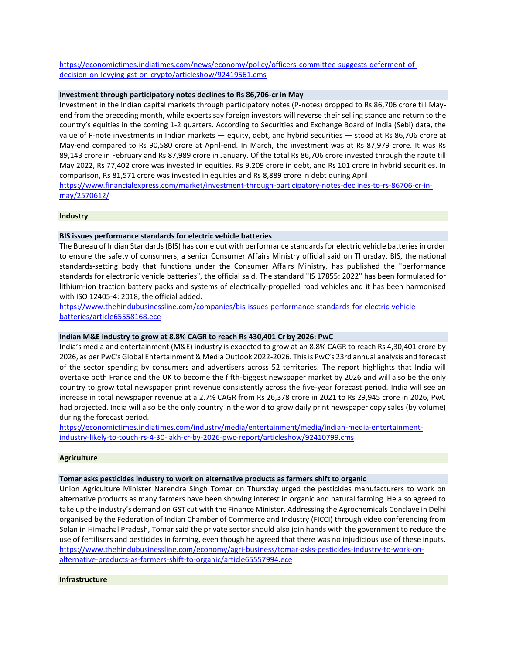[https://economictimes.indiatimes.com/news/economy/policy/officers-committee-suggests-deferment-of](https://economictimes.indiatimes.com/news/economy/policy/officers-committee-suggests-deferment-of-decision-on-levying-gst-on-crypto/articleshow/92419561.cms)[decision-on-levying-gst-on-crypto/articleshow/92419561.cms](https://economictimes.indiatimes.com/news/economy/policy/officers-committee-suggests-deferment-of-decision-on-levying-gst-on-crypto/articleshow/92419561.cms)

### **Investment through participatory notes declines to Rs 86,706-cr in May**

Investment in the Indian capital markets through participatory notes (P-notes) dropped to Rs 86,706 crore till Mayend from the preceding month, while experts say foreign investors will reverse their selling stance and return to the country's equities in the coming 1-2 quarters. According to Securities and Exchange Board of India (Sebi) data, the value of P-note investments in Indian markets — equity, debt, and hybrid securities — stood at Rs 86,706 crore at May-end compared to Rs 90,580 crore at April-end. In March, the investment was at Rs 87,979 crore. It was Rs 89,143 crore in February and Rs 87,989 crore in January. Of the total Rs 86,706 crore invested through the route till May 2022, Rs 77,402 crore was invested in equities, Rs 9,209 crore in debt, and Rs 101 crore in hybrid securities. In comparison, Rs 81,571 crore was invested in equities and Rs 8,889 crore in debt during April.

[https://www.financialexpress.com/market/investment-through-participatory-notes-declines-to-rs-86706-cr-in](https://www.financialexpress.com/market/investment-through-participatory-notes-declines-to-rs-86706-cr-in-may/2570612/)[may/2570612/](https://www.financialexpress.com/market/investment-through-participatory-notes-declines-to-rs-86706-cr-in-may/2570612/)

# **Industry**

# **BIS issues performance standards for electric vehicle batteries**

The Bureau of Indian Standards (BIS) has come out with performance standards for electric vehicle batteries in order to ensure the safety of consumers, a senior Consumer Affairs Ministry official said on Thursday. BIS, the national standards-setting body that functions under the Consumer Affairs Ministry, has published the "performance standards for electronic vehicle batteries", the official said. The standard "IS 17855: 2022" has been formulated for lithium-ion traction battery packs and systems of electrically-propelled road vehicles and it has been harmonised with ISO 12405-4: 2018, the official added.

[https://www.thehindubusinessline.com/companies/bis-issues-performance-standards-for-electric-vehicle](https://www.thehindubusinessline.com/companies/bis-issues-performance-standards-for-electric-vehicle-batteries/article65558168.ece)[batteries/article65558168.ece](https://www.thehindubusinessline.com/companies/bis-issues-performance-standards-for-electric-vehicle-batteries/article65558168.ece)

### **Indian M&E industry to grow at 8.8% CAGR to reach Rs 430,401 Cr by 2026: PwC**

India's media and entertainment (M&E) industry is expected to grow at an 8.8% CAGR to reach Rs 4,30,401 crore by 2026, as per PwC's Global Entertainment & Media Outlook 2022-2026. This is PwC's 23rd annual analysis and forecast of the sector spending by consumers and advertisers across 52 territories. The report highlights that India will overtake both France and the UK to become the fifth-biggest newspaper market by 2026 and will also be the only country to grow total newspaper print revenue consistently across the five-year forecast period. India will see an increase in total newspaper revenue at a 2.7% CAGR from Rs 26,378 crore in 2021 to Rs 29,945 crore in 2026, PwC had projected. India will also be the only country in the world to grow daily print newspaper copy sales (by volume) during the forecast period.

[https://economictimes.indiatimes.com/industry/media/entertainment/media/indian-media-entertainment](https://economictimes.indiatimes.com/industry/media/entertainment/media/indian-media-entertainment-industry-likely-to-touch-rs-4-30-lakh-cr-by-2026-pwc-report/articleshow/92410799.cms)[industry-likely-to-touch-rs-4-30-lakh-cr-by-2026-pwc-report/articleshow/92410799.cms](https://economictimes.indiatimes.com/industry/media/entertainment/media/indian-media-entertainment-industry-likely-to-touch-rs-4-30-lakh-cr-by-2026-pwc-report/articleshow/92410799.cms)

### **Agriculture**

#### **Tomar asks pesticides industry to work on alternative products as farmers shift to organic**

Union Agriculture Minister Narendra Singh Tomar on Thursday urged the pesticides manufacturers to work on alternative products as many farmers have been showing interest in organic and natural farming. He also agreed to take up the industry's demand on GST cut with the Finance Minister. Addressing the Agrochemicals Conclave in Delhi organised by the Federation of Indian Chamber of Commerce and Industry (FICCI) through video conferencing from Solan in Himachal Pradesh, Tomar said the private sector should also join hands with the government to reduce the use of fertilisers and pesticides in farming, even though he agreed that there was no injudicious use of these inputs. [https://www.thehindubusinessline.com/economy/agri-business/tomar-asks-pesticides-industry-to-work-on](https://www.thehindubusinessline.com/economy/agri-business/tomar-asks-pesticides-industry-to-work-on-alternative-products-as-farmers-shift-to-organic/article65557994.ece)[alternative-products-as-farmers-shift-to-organic/article65557994.ece](https://www.thehindubusinessline.com/economy/agri-business/tomar-asks-pesticides-industry-to-work-on-alternative-products-as-farmers-shift-to-organic/article65557994.ece)

#### **Infrastructure**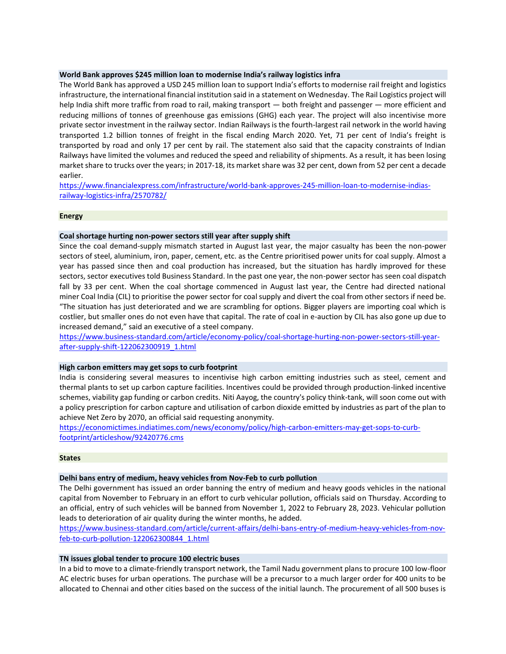# **World Bank approves \$245 million loan to modernise India's railway logistics infra**

The World Bank has approved a USD 245 million loan to support India's efforts to modernise rail freight and logistics infrastructure, the international financial institution said in a statement on Wednesday. The Rail Logistics project will help India shift more traffic from road to rail, making transport — both freight and passenger — more efficient and reducing millions of tonnes of greenhouse gas emissions (GHG) each year. The project will also incentivise more private sector investment in the railway sector. Indian Railways is the fourth-largest rail network in the world having transported 1.2 billion tonnes of freight in the fiscal ending March 2020. Yet, 71 per cent of India's freight is transported by road and only 17 per cent by rail. The statement also said that the capacity constraints of Indian Railways have limited the volumes and reduced the speed and reliability of shipments. As a result, it has been losing market share to trucks over the years; in 2017-18, its market share was 32 per cent, down from 52 per cent a decade earlier.

[https://www.financialexpress.com/infrastructure/world-bank-approves-245-million-loan-to-modernise-indias](https://www.financialexpress.com/infrastructure/world-bank-approves-245-million-loan-to-modernise-indias-railway-logistics-infra/2570782/)[railway-logistics-infra/2570782/](https://www.financialexpress.com/infrastructure/world-bank-approves-245-million-loan-to-modernise-indias-railway-logistics-infra/2570782/)

# **Energy**

# **Coal shortage hurting non-power sectors still year after supply shift**

Since the coal demand-supply mismatch started in August last year, the major casualty has been the non-power sectors of steel, aluminium, iron, paper, cement, etc. as the Centre prioritised power units for coal supply. Almost a year has passed since then and coal production has increased, but the situation has hardly improved for these sectors, sector executives told Business Standard. In the past one year, the non-power sector has seen coal dispatch fall by 33 per cent. When the coal shortage commenced in August last year, the Centre had directed national miner Coal India (CIL) to prioritise the power sector for coal supply and divert the coal from other sectors if need be. "The situation has just deteriorated and we are scrambling for options. Bigger players are importing coal which is costlier, but smaller ones do not even have that capital. The rate of coal in e-auction by CIL has also gone up due to increased demand," said an executive of a steel company.

[https://www.business-standard.com/article/economy-policy/coal-shortage-hurting-non-power-sectors-still-year](https://www.business-standard.com/article/economy-policy/coal-shortage-hurting-non-power-sectors-still-year-after-supply-shift-122062300919_1.html)[after-supply-shift-122062300919\\_1.html](https://www.business-standard.com/article/economy-policy/coal-shortage-hurting-non-power-sectors-still-year-after-supply-shift-122062300919_1.html)

# **High carbon emitters may get sops to curb footprint**

India is considering several measures to incentivise high carbon emitting industries such as steel, cement and thermal plants to set up carbon capture facilities. Incentives could be provided through production-linked incentive schemes, viability gap funding or carbon credits. Niti Aayog, the country's policy think-tank, will soon come out with a policy prescription for carbon capture and utilisation of carbon dioxide emitted by industries as part of the plan to achieve Net Zero by 2070, an official said requesting anonymity.

[https://economictimes.indiatimes.com/news/economy/policy/high-carbon-emitters-may-get-sops-to-curb](https://economictimes.indiatimes.com/news/economy/policy/high-carbon-emitters-may-get-sops-to-curb-footprint/articleshow/92420776.cms)[footprint/articleshow/92420776.cms](https://economictimes.indiatimes.com/news/economy/policy/high-carbon-emitters-may-get-sops-to-curb-footprint/articleshow/92420776.cms)

# **States**

### **Delhi bans entry of medium, heavy vehicles from Nov-Feb to curb pollution**

The Delhi government has issued an order banning the entry of medium and heavy goods vehicles in the national capital from November to February in an effort to curb vehicular pollution, officials said on Thursday. According to an official, entry of such vehicles will be banned from November 1, 2022 to February 28, 2023. Vehicular pollution leads to deterioration of air quality during the winter months, he added.

[https://www.business-standard.com/article/current-affairs/delhi-bans-entry-of-medium-heavy-vehicles-from-nov](https://www.business-standard.com/article/current-affairs/delhi-bans-entry-of-medium-heavy-vehicles-from-nov-feb-to-curb-pollution-122062300844_1.html)[feb-to-curb-pollution-122062300844\\_1.html](https://www.business-standard.com/article/current-affairs/delhi-bans-entry-of-medium-heavy-vehicles-from-nov-feb-to-curb-pollution-122062300844_1.html)

# **TN issues global tender to procure 100 electric buses**

In a bid to move to a climate-friendly transport network, the Tamil Nadu government plans to procure 100 low-floor AC electric buses for urban operations. The purchase will be a precursor to a much larger order for 400 units to be allocated to Chennai and other cities based on the success of the initial launch. The procurement of all 500 buses is